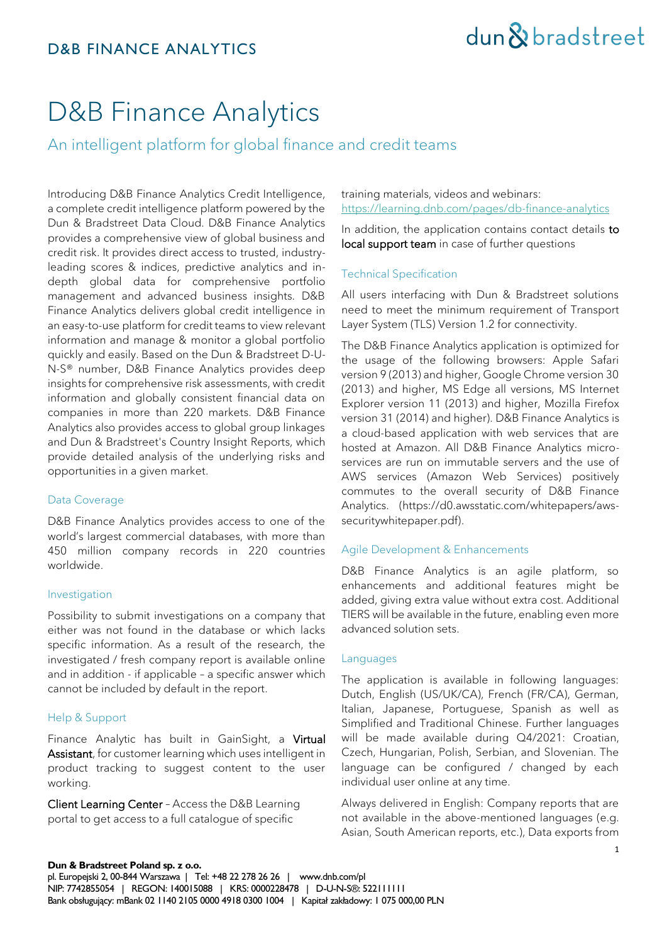# dun & bradstreet

## D&B Finance Analytics

An intelligent platform for global finance and credit teams

Introducing D&B Finance Analytics Credit Intelligence, a complete credit intelligence platform powered by the Dun & Bradstreet Data Cloud. D&B Finance Analytics provides a comprehensive view of global business and credit risk. It provides direct access to trusted, industryleading scores & indices, predictive analytics and indepth global data for comprehensive portfolio management and advanced business insights. D&B Finance Analytics delivers global credit intelligence in an easy-to-use platform for credit teams to view relevant information and manage & monitor a global portfolio quickly and easily. Based on the Dun & Bradstreet D-U-N-S® number, D&B Finance Analytics provides deep insights for comprehensive risk assessments, with credit information and globally consistent financial data on companies in more than 220 markets. D&B Finance Analytics also provides access to global group linkages and Dun & Bradstreet's Country Insight Reports, which provide detailed analysis of the underlying risks and opportunities in a given market.

## Data Coverage

D&B Finance Analytics provides access to one of the world's largest commercial databases, with more than 450 million company records in 220 countries worldwide.

## Investigation

Possibility to submit investigations on a company that either was not found in the database or which lacks specific information. As a result of the research, the investigated / fresh company report is available online and in addition - if applicable – a specific answer which cannot be included by default in the report.

## Help & Support

Finance Analytic has built in GainSight, a Virtual Assistant, for customer learning which uses intelligent in product tracking to suggest content to the user working.

Client Learning Center – Access the D&B Learning portal to get access to a full catalogue of specific

training materials, videos and webinars: <https://learning.dnb.com/pages/db-finance-analytics>

In addition, the application contains contact details to local support team in case of further questions

## Technical Specification

All users interfacing with Dun & Bradstreet solutions need to meet the minimum requirement of Transport Layer System (TLS) Version 1.2 for connectivity.

The D&B Finance Analytics application is optimized for the usage of the following browsers: Apple Safari version 9 (2013) and higher, Google Chrome version 30 (2013) and higher, MS Edge all versions, MS Internet Explorer version 11 (2013) and higher, Mozilla Firefox version 31 (2014) and higher). D&B Finance Analytics is a cloud-based application with web services that are hosted at Amazon. All D&B Finance Analytics microservices are run on immutable servers and the use of AWS services (Amazon Web Services) positively commutes to the overall security of D&B Finance Analytics. (https://d0.awsstatic.com/whitepapers/awssecuritywhitepaper.pdf).

## Agile Development & Enhancements

D&B Finance Analytics is an agile platform, so enhancements and additional features might be added, giving extra value without extra cost. Additional TIERS will be available in the future, enabling even more advanced solution sets.

## Languages

The application is available in following languages: Dutch, English (US/UK/CA), French (FR/CA), German, Italian, Japanese, Portuguese, Spanish as well as Simplified and Traditional Chinese. Further languages will be made available during Q4/2021: Croatian, Czech, Hungarian, Polish, Serbian, and Slovenian. The language can be configured / changed by each individual user online at any time.

Always delivered in English: Company reports that are not available in the above-mentioned languages (e.g. Asian, South American reports, etc.), Data exports from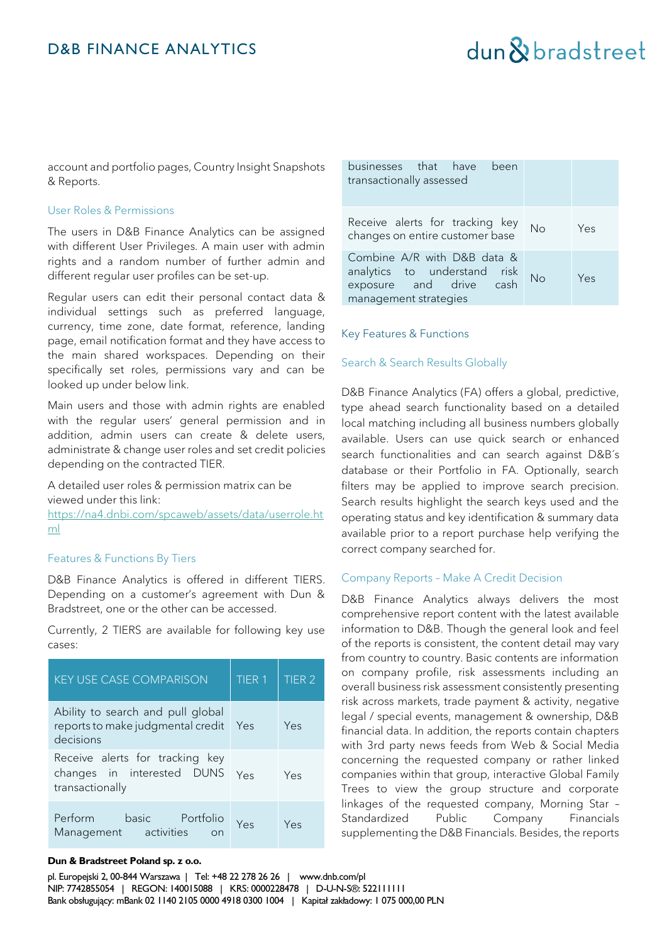# dun & bradstreet

account and portfolio pages, Country Insight Snapshots & Reports.

### User Roles & Permissions

The users in D&B Finance Analytics can be assigned with different User Privileges. A main user with admin rights and a random number of further admin and different regular user profiles can be set-up.

Regular users can edit their personal contact data & individual settings such as preferred language, currency, time zone, date format, reference, landing page, email notification format and they have access to the main shared workspaces. Depending on their specifically set roles, permissions vary and can be looked up under below link.

Main users and those with admin rights are enabled with the regular users' general permission and in addition, admin users can create & delete users, administrate & change user roles and set credit policies depending on the contracted TIER.

A detailed user roles & permission matrix can be viewed under this link:

[https://na4.dnbi.com/spcaweb/assets/data/userrole.ht](https://na4.dnbi.com/spcaweb/assets/data/userrole.html) [ml](https://na4.dnbi.com/spcaweb/assets/data/userrole.html)

## Features & Functions By Tiers

D&B Finance Analytics is offered in different TIERS. Depending on a customer's agreement with Dun & Bradstreet, one or the other can be accessed.

Currently, 2 TIERS are available for following key use cases:

| KEY USE CASE COMPARISON                                                             | TIER <sub>1</sub> | TIER <sub>2</sub> |
|-------------------------------------------------------------------------------------|-------------------|-------------------|
| Ability to search and pull global<br>reports to make judgmental credit<br>decisions | Yes               | Yes               |
| Receive alerts for tracking key<br>changes in interested DUNS<br>transactionally    | Yes               | Yes               |
| Perform<br>basic Portfolio<br>Management activities<br>nn                           | Yes               | Yes               |

## businesses that have been transactionally assessed Receive alerts for tracking key Exerce are not tracking key No Yes Combine A/R with D&B data & analytics to understand risk exposure and drive cash management strategies No Yes

## Key Features & Functions

### Search & Search Results Globally

D&B Finance Analytics (FA) offers a global, predictive, type ahead search functionality based on a detailed local matching including all business numbers globally available. Users can use quick search or enhanced search functionalities and can search against D&B´s database or their Portfolio in FA. Optionally, search filters may be applied to improve search precision. Search results highlight the search keys used and the operating status and key identification & summary data available prior to a report purchase help verifying the correct company searched for.

#### Company Reports – Make A Credit Decision

D&B Finance Analytics always delivers the most comprehensive report content with the latest available information to D&B. Though the general look and feel of the reports is consistent, the content detail may vary from country to country. Basic contents are information on company profile, risk assessments including an overall business risk assessment consistently presenting risk across markets, trade payment & activity, negative legal / special events, management & ownership, D&B financial data. In addition, the reports contain chapters with 3rd party news feeds from Web & Social Media concerning the requested company or rather linked companies within that group, interactive Global Family Trees to view the group structure and corporate linkages of the requested company, Morning Star – Standardized Public Company Financials supplementing the D&B Financials. Besides, the reports

#### **Dun & Bradstreet Poland sp. z o.o.**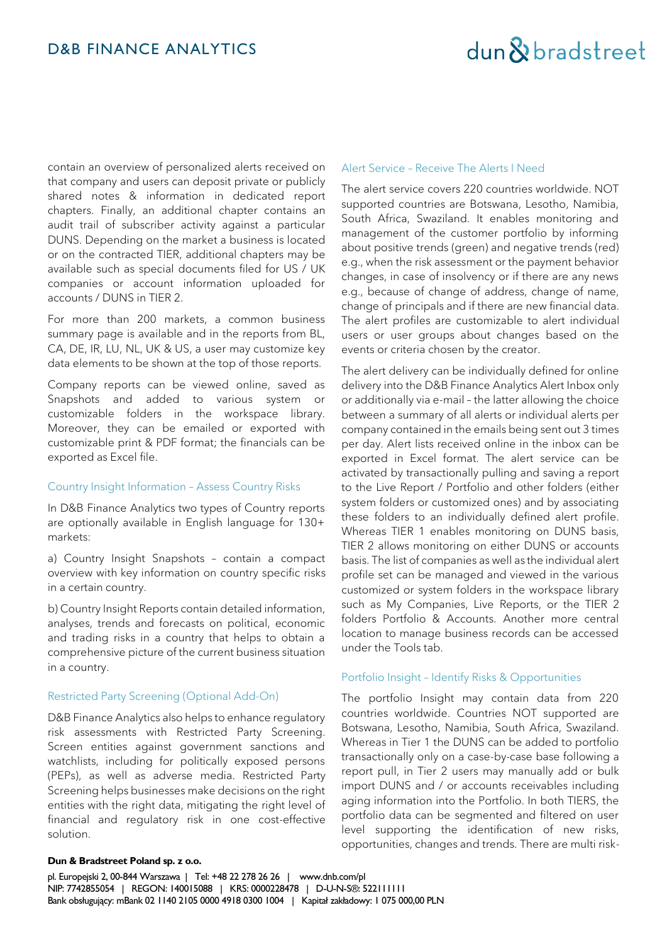## dun & bradstreet

contain an overview of personalized alerts received on that company and users can deposit private or publicly shared notes & information in dedicated report chapters. Finally, an additional chapter contains an audit trail of subscriber activity against a particular DUNS. Depending on the market a business is located or on the contracted TIER, additional chapters may be available such as special documents filed for US / UK companies or account information uploaded for accounts / DUNS in TIER 2.

For more than 200 markets, a common business summary page is available and in the reports from BL, CA, DE, IR, LU, NL, UK & US, a user may customize key data elements to be shown at the top of those reports.

Company reports can be viewed online, saved as Snapshots and added to various system or customizable folders in the workspace library. Moreover, they can be emailed or exported with customizable print & PDF format; the financials can be exported as Excel file.

#### Country Insight Information – Assess Country Risks

In D&B Finance Analytics two types of Country reports are optionally available in English language for 130+ markets:

a) Country Insight Snapshots – contain a compact overview with key information on country specific risks in a certain country.

b) Country Insight Reports contain detailed information, analyses, trends and forecasts on political, economic and trading risks in a country that helps to obtain a comprehensive picture of the current business situation in a country.

## Restricted Party Screening (Optional Add-On)

D&B Finance Analytics also helps to enhance regulatory risk assessments with Restricted Party Screening. Screen entities against government sanctions and watchlists, including for politically exposed persons (PEPs), as well as adverse media. Restricted Party Screening helps businesses make decisions on the right entities with the right data, mitigating the right level of financial and regulatory risk in one cost-effective solution.

#### Alert Service – Receive The Alerts I Need

The alert service covers 220 countries worldwide. NOT supported countries are Botswana, Lesotho, Namibia, South Africa, Swaziland. It enables monitoring and management of the customer portfolio by informing about positive trends (green) and negative trends (red) e.g., when the risk assessment or the payment behavior changes, in case of insolvency or if there are any news e.g., because of change of address, change of name, change of principals and if there are new financial data. The alert profiles are customizable to alert individual users or user groups about changes based on the events or criteria chosen by the creator.

The alert delivery can be individually defined for online delivery into the D&B Finance Analytics Alert Inbox only or additionally via e-mail – the latter allowing the choice between a summary of all alerts or individual alerts per company contained in the emails being sent out 3 times per day. Alert lists received online in the inbox can be exported in Excel format. The alert service can be activated by transactionally pulling and saving a report to the Live Report / Portfolio and other folders (either system folders or customized ones) and by associating these folders to an individually defined alert profile. Whereas TIER 1 enables monitoring on DUNS basis, TIER 2 allows monitoring on either DUNS or accounts basis. The list of companies as well as the individual alert profile set can be managed and viewed in the various customized or system folders in the workspace library such as My Companies, Live Reports, or the TIER 2 folders Portfolio & Accounts. Another more central location to manage business records can be accessed under the Tools tab.

#### Portfolio Insight – Identify Risks & Opportunities

The portfolio Insight may contain data from 220 countries worldwide. Countries NOT supported are Botswana, Lesotho, Namibia, South Africa, Swaziland. Whereas in Tier 1 the DUNS can be added to portfolio transactionally only on a case-by-case base following a report pull, in Tier 2 users may manually add or bulk import DUNS and / or accounts receivables including aging information into the Portfolio. In both TIERS, the portfolio data can be segmented and filtered on user level supporting the identification of new risks, opportunities, changes and trends. There are multi risk-

#### **Dun & Bradstreet Poland sp. z o.o.**